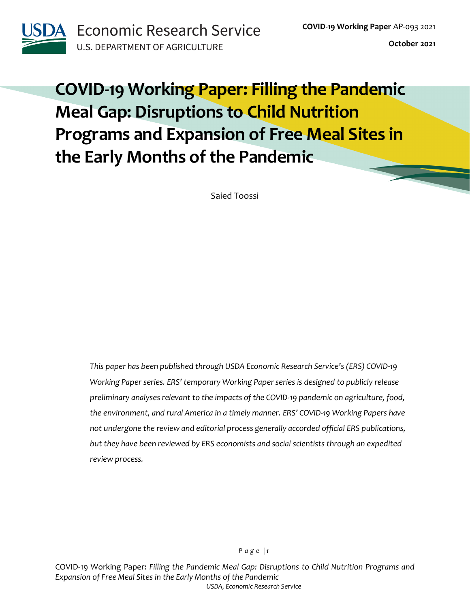

**Economic Research Service U.S. DEPARTMENT OF AGRICULTURE** 

**October 2021**

# **COVID-19 Working Paper: Filling the Pandemic Meal Gap: Disruptions to Child Nutrition Programs and Expansion of Free Meal Sites in the Early Months of the Pandemic**

Saied Toossi

*This paper has been published through USDA Economic Research Service's (ERS) COVID-19 Working Paper series. ERS' temporary Working Paper series is designed to publicly release preliminary analyses relevant to the impacts of the COVID-19 pandemic on agriculture, food, the environment, and rural America in a timely manner. ERS' COVID-19 Working Papers have not undergone the review and editorial process generally accorded official ERS publications, but they have been reviewed by ERS economists and social scientists through an expedited review process.*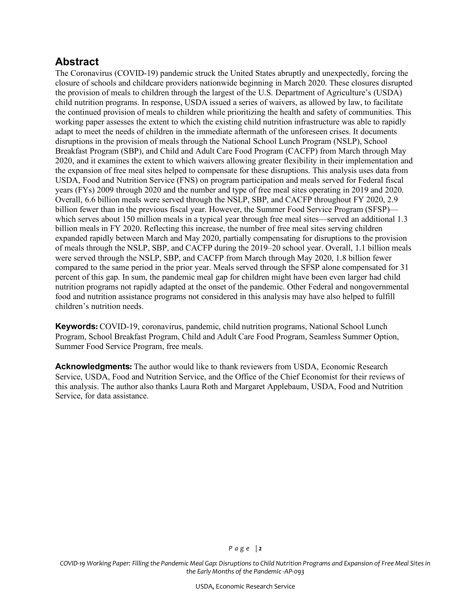### **Abstract**

The Coronavirus (COVID-19) pandemic struck the United States abruptly and unexpectedly, forcing the closure of schools and childcare providers nationwide beginning in March 2020. These closures disrupted the provision of meals to children through the largest of the U.S. Department of Agriculture's (USDA) child nutrition programs. In response, USDA issued a series of waivers, as allowed by law, to facilitate the continued provision of meals to children while prioritizing the health and safety of communities. This working paper assesses the extent to which the existing child nutrition infrastructure was able to rapidly adapt to meet the needs of children in the immediate aftermath of the unforeseen crises. It documents disruptions in the provision of meals through the National School Lunch Program (NSLP), School Breakfast Program (SBP), and Child and Adult Care Food Program (CACFP) from March through May 2020, and it examines the extent to which waivers allowing greater flexibility in their implementation and the expansion of free meal sites helped to compensate for these disruptions. This analysis uses data from USDA, Food and Nutrition Service (FNS) on program participation and meals served for Federal fiscal years (FYs) 2009 through 2020 and the number and type of free meal sites operating in 2019 and 2020. Overall, 6.6 billion meals were served through the NSLP, SBP, and CACFP throughout FY 2020, 2.9 billion fewer than in the previous fiscal year. However, the Summer Food Service Program (SFSP) which serves about 150 million meals in a typical year through free meal sites—served an additional 1.3 billion meals in FY 2020. Reflecting this increase, the number of free meal sites serving children expanded rapidly between March and May 2020, partially compensating for disruptions to the provision of meals through the NSLP, SBP, and CACFP during the 2019–20 school year. Overall, 1.1 billion meals were served through the NSLP, SBP, and CACFP from March through May 2020, 1.8 billion fewer compared to the same period in the prior year. Meals served through the SFSP alone compensated for 31 percent of this gap. In sum, the pandemic meal gap for children might have been even larger had child nutrition programs not rapidly adapted at the onset of the pandemic. Other Federal and nongovernmental food and nutrition assistance programs not considered in this analysis may have also helped to fulfill children's nutrition needs.

**Keywords:** COVID-19, coronavirus, pandemic, child nutrition programs, National School Lunch Program, School Breakfast Program, Child and Adult Care Food Program, Seamless Summer Option, Summer Food Service Program, free meals.

**Acknowledgments:** The author would like to thank reviewers from USDA, Economic Research Service, USDA, Food and Nutrition Service, and the Office of the Chief Economist for their reviews of this analysis. The author also thanks Laura Roth and Margaret Applebaum, USDA, Food and Nutrition Service, for data assistance.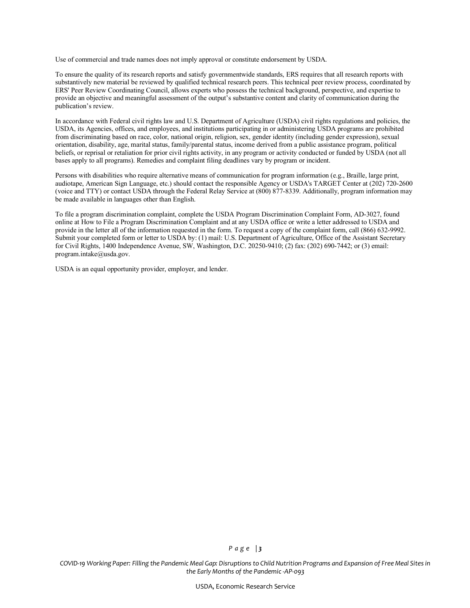Use of commercial and trade names does not imply approval or constitute endorsement by USDA.

To ensure the quality of its research reports and satisfy governmentwide standards, ERS requires that all research reports with substantively new material be reviewed by qualified technical research peers. This technical peer review process, coordinated by ERS' Peer Review Coordinating Council, allows experts who possess the technical background, perspective, and expertise to provide an objective and meaningful assessment of the output's substantive content and clarity of communication during the publication's review.

In accordance with Federal civil rights law and U.S. Department of Agriculture (USDA) civil rights regulations and policies, the USDA, its Agencies, offices, and employees, and institutions participating in or administering USDA programs are prohibited from discriminating based on race, color, national origin, religion, sex, gender identity (including gender expression), sexual orientation, disability, age, marital status, family/parental status, income derived from a public assistance program, political beliefs, or reprisal or retaliation for prior civil rights activity, in any program or activity conducted or funded by USDA (not all bases apply to all programs). Remedies and complaint filing deadlines vary by program or incident.

Persons with disabilities who require alternative means of communication for program information (e.g., Braille, large print, audiotape, American Sign Language, etc.) should contact the responsible Agency or USDA's TARGET Center at (202) 720-2600 (voice and TTY) or contact USDA through the Federal Relay Service at (800) 877-8339. Additionally, program information may be made available in languages other than English.

To file a program discrimination complaint, complete the USDA Program Discrimination Complaint Form, AD-3027, found online at How to File a Program Discrimination Complaint and at any USDA office or write a letter addressed to USDA and provide in the letter all of the information requested in the form. To request a copy of the complaint form, call (866) 632-9992. Submit your completed form or letter to USDA by: (1) mail: U.S. Department of Agriculture, Office of the Assistant Secretary for Civil Rights, 1400 Independence Avenue, SW, Washington, D.C. 20250-9410; (2) fax: (202) 690-7442; or (3) email: program.intake@usda.gov.

USDA is an equal opportunity provider, employer, and lender.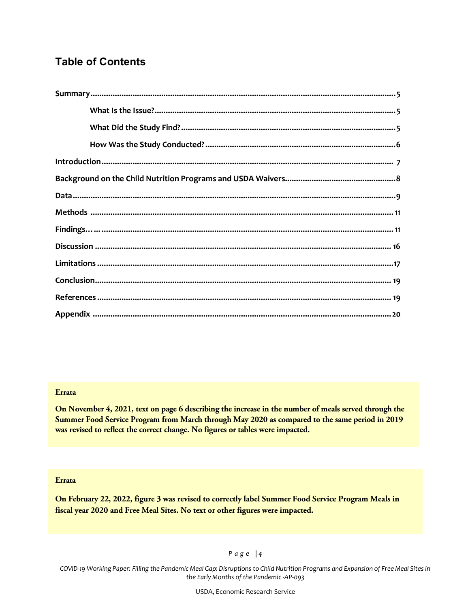### **Table of Contents**

#### **Errata**

**On November 4, 2021, text on page 6 describing the increase in the number of meals served through the Summer Food Service Program from March through May 2020 as compared to the same period in 2019 was revised to reflect the correct change. No figures or tables were impacted.**

#### **Errata**

**On February 22, 2022, figure 3 was revised to correctly label Summer Food Service Program Meals in fiscal year 2020 and Free Meal Sites. No text or other figures were impacted.** 

#### *Page | 4*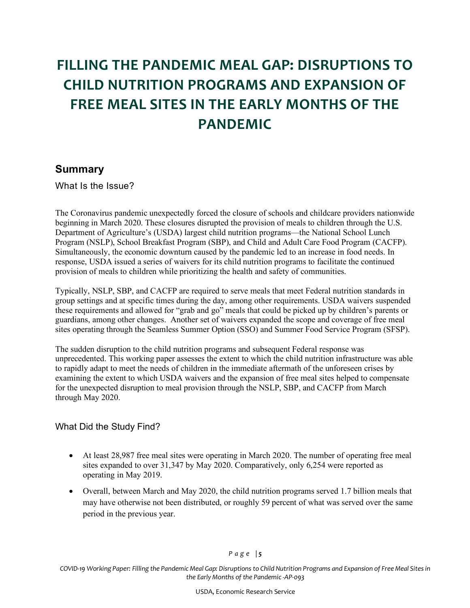## **FILLING THE PANDEMIC MEAL GAP: DISRUPTIONS TO CHILD NUTRITION PROGRAMS AND EXPANSION OF FREE MEAL SITES IN THE EARLY MONTHS OF THE PANDEMIC**

#### **Summary**

What Is the Issue?

The Coronavirus pandemic unexpectedly forced the closure of schools and childcare providers nationwide beginning in March 2020. These closures disrupted the provision of meals to children through the U.S. Department of Agriculture's (USDA) largest child nutrition programs—the National School Lunch Program (NSLP), School Breakfast Program (SBP), and Child and Adult Care Food Program (CACFP). Simultaneously, the economic downturn caused by the pandemic led to an increase in food needs. In response, USDA issued a series of waivers for its child nutrition programs to facilitate the continued provision of meals to children while prioritizing the health and safety of communities.

Typically, NSLP, SBP, and CACFP are required to serve meals that meet Federal nutrition standards in group settings and at specific times during the day, among other requirements. USDA waivers suspended these requirements and allowed for "grab and go" meals that could be picked up by children's parents or guardians, among other changes. Another set of waivers expanded the scope and coverage of free meal sites operating through the Seamless Summer Option (SSO) and Summer Food Service Program (SFSP).

The sudden disruption to the child nutrition programs and subsequent Federal response was unprecedented. This working paper assesses the extent to which the child nutrition infrastructure was able to rapidly adapt to meet the needs of children in the immediate aftermath of the unforeseen crises by examining the extent to which USDA waivers and the expansion of free meal sites helped to compensate for the unexpected disruption to meal provision through the NSLP, SBP, and CACFP from March through May 2020.

#### What Did the Study Find?

- At least 28,987 free meal sites were operating in March 2020. The number of operating free meal sites expanded to over 31,347 by May 2020. Comparatively, only 6,254 were reported as operating in May 2019.
- Overall, between March and May 2020, the child nutrition programs served 1.7 billion meals that may have otherwise not been distributed, or roughly 59 percent of what was served over the same period in the previous year.

#### *Page | 5*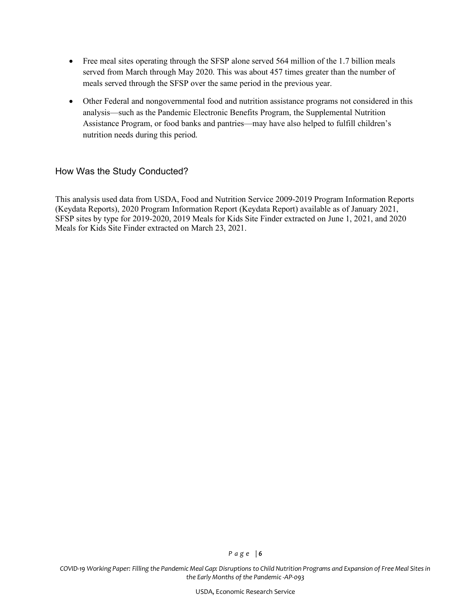- Free meal sites operating through the SFSP alone served 564 million of the 1.7 billion meals served from March through May 2020. This was about 457 times greater than the number of meals served through the SFSP over the same period in the previous year.
- Other Federal and nongovernmental food and nutrition assistance programs not considered in this analysis—such as the Pandemic Electronic Benefits Program, the Supplemental Nutrition Assistance Program, or food banks and pantries—may have also helped to fulfill children's nutrition needs during this period.

#### How Was the Study Conducted?

This analysis used data from USDA, Food and Nutrition Service 2009-2019 Program Information Reports (Keydata Reports), 2020 Program Information Report (Keydata Report) available as of January 2021, SFSP sites by type for 2019-2020, 2019 Meals for Kids Site Finder extracted on June 1, 2021, and 2020 Meals for Kids Site Finder extracted on March 23, 2021.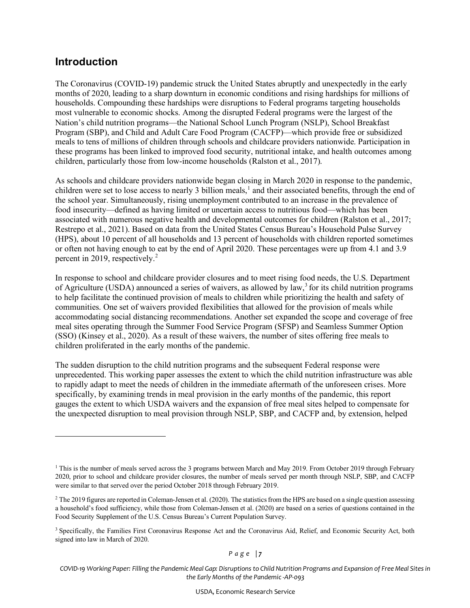### **Introduction**

The Coronavirus (COVID-19) pandemic struck the United States abruptly and unexpectedly in the early months of 2020, leading to a sharp downturn in economic conditions and rising hardships for millions of households. Compounding these hardships were disruptions to Federal programs targeting households most vulnerable to economic shocks. Among the disrupted Federal programs were the largest of the Nation's child nutrition programs—the National School Lunch Program (NSLP), School Breakfast Program (SBP), and Child and Adult Care Food Program (CACFP)—which provide free or subsidized meals to tens of millions of children through schools and childcare providers nationwide. Participation in these programs has been linked to improved food security, nutritional intake, and health outcomes among children, particularly those from low-income households (Ralston et al., 2017).

As schools and childcare providers nationwide began closing in March 2020 in response to the pandemic, children were set to lose access to nearly 3 billion meals,<sup>[1](#page-6-0)</sup> and their associated benefits, through the end of the school year. Simultaneously, rising unemployment contributed to an increase in the prevalence of food insecurity—defined as having limited or uncertain access to nutritious food—which has been associated with numerous negative health and developmental outcomes for children (Ralston et al., 2017; Restrepo et al., 2021). Based on data from the United States Census Bureau's Household Pulse Survey (HPS), about 10 percent of all households and 13 percent of households with children reported sometimes or often not having enough to eat by the end of April 2020. These percentages were up from 4.1 and 3.9 percent in [2](#page-6-1)019, respectively. $2$ 

In response to school and childcare provider closures and to meet rising food needs, the U.S. Department of Agriculture (USDA) announced a series of waivers, as allowed by law,<sup>[3](#page-6-2)</sup> for its child nutrition programs to help facilitate the continued provision of meals to children while prioritizing the health and safety of communities. One set of waivers provided flexibilities that allowed for the provision of meals while accommodating social distancing recommendations. Another set expanded the scope and coverage of free meal sites operating through the Summer Food Service Program (SFSP) and Seamless Summer Option (SSO) (Kinsey et al., 2020). As a result of these waivers, the number of sites offering free meals to children proliferated in the early months of the pandemic.

The sudden disruption to the child nutrition programs and the subsequent Federal response were unprecedented. This working paper assesses the extent to which the child nutrition infrastructure was able to rapidly adapt to meet the needs of children in the immediate aftermath of the unforeseen crises. More specifically, by examining trends in meal provision in the early months of the pandemic, this report gauges the extent to which USDA waivers and the expansion of free meal sites helped to compensate for the unexpected disruption to meal provision through NSLP, SBP, and CACFP and, by extension, helped

*Page | 7* 

<span id="page-6-0"></span><sup>&</sup>lt;sup>1</sup> This is the number of meals served across the 3 programs between March and May 2019. From October 2019 through February 2020, prior to school and childcare provider closures, the number of meals served per month through NSLP, SBP, and CACFP were similar to that served over the period October 2018 through February 2019.

<span id="page-6-1"></span><sup>&</sup>lt;sup>2</sup> The 2019 figures are reported in Coleman-Jensen et al. (2020). The statistics from the HPS are based on a single question assessing a household's food sufficiency, while those from Coleman-Jensen et al. (2020) are based on a series of questions contained in the Food Security Supplement of the U.S. Census Bureau's Current Population Survey.

<span id="page-6-2"></span><sup>&</sup>lt;sup>3</sup> Specifically, the Families First Coronavirus Response Act and the Coronavirus Aid, Relief, and Economic Security Act, both signed into law in March of 2020.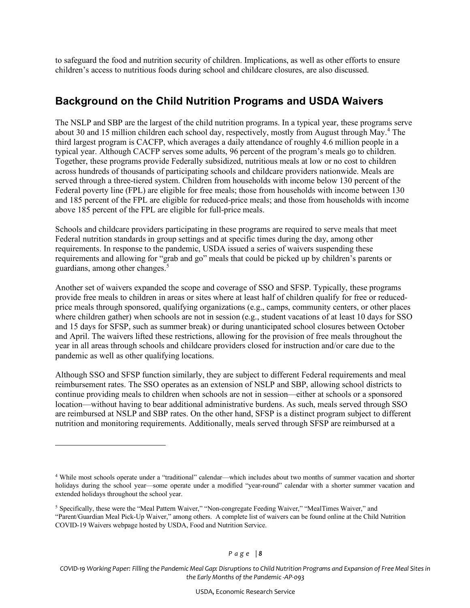to safeguard the food and nutrition security of children. Implications, as well as other efforts to ensure children's access to nutritious foods during school and childcare closures, are also discussed.

### **Background on the Child Nutrition Programs and USDA Waivers**

The NSLP and SBP are the largest of the child nutrition programs. In a typical year, these programs serve about 30 and 15 million children each school day, respectively, mostly from August through May.<sup>[4](#page-7-0)</sup> The third largest program is CACFP, which averages a daily attendance of roughly 4.6 million people in a typical year. Although CACFP serves some adults, 96 percent of the program's meals go to children. Together, these programs provide Federally subsidized, nutritious meals at low or no cost to children across hundreds of thousands of participating schools and childcare providers nationwide. Meals are served through a three-tiered system. Children from households with income below 130 percent of the Federal poverty line (FPL) are eligible for free meals; those from households with income between 130 and 185 percent of the FPL are eligible for reduced-price meals; and those from households with income above 185 percent of the FPL are eligible for full-price meals.

Schools and childcare providers participating in these programs are required to serve meals that meet Federal nutrition standards in group settings and at specific times during the day, among other requirements. In response to the pandemic, USDA issued a series of waivers suspending these requirements and allowing for "grab and go" meals that could be picked up by children's parents or guardians, among other changes. [5](#page-7-1)

Another set of waivers expanded the scope and coverage of SSO and SFSP. Typically, these programs provide free meals to children in areas or sites where at least half of children qualify for free or reducedprice meals through sponsored, qualifying organizations (e.g., camps, community centers, or other places where children gather) when schools are not in session (e.g., student vacations of at least 10 days for SSO and 15 days for SFSP, such as summer break) or during unanticipated school closures between October and April. The waivers lifted these restrictions, allowing for the provision of free meals throughout the year in all areas through schools and childcare providers closed for instruction and/or care due to the pandemic as well as other qualifying locations.

Although SSO and SFSP function similarly, they are subject to different Federal requirements and meal reimbursement rates. The SSO operates as an extension of NSLP and SBP, allowing school districts to continue providing meals to children when schools are not in session—either at schools or a sponsored location—without having to bear additional administrative burdens. As such, meals served through SSO are reimbursed at NSLP and SBP rates. On the other hand, SFSP is a distinct program subject to different nutrition and monitoring requirements. Additionally, meals served through SFSP are reimbursed at a

<span id="page-7-0"></span><sup>4</sup> While most schools operate under a "traditional" calendar—which includes about two months of summer vacation and shorter holidays during the school year—some operate under a modified "year-round" calendar with a shorter summer vacation and extended holidays throughout the school year.

<span id="page-7-1"></span><sup>5</sup> Specifically, these were the "Meal Pattern Waiver," "Non-congregate Feeding Waiver," "MealTimes Waiver," and "Parent/Guardian Meal Pick-Up Waiver," among others. A complete list of waivers can be found online at the Child Nutrition COVID-19 Waivers webpage hosted by USDA, Food and Nutrition Service.

*COVID-19 Working Paper: Filling the Pandemic Meal Gap: Disruptions to Child Nutrition Programs and Expansion of Free Meal Sites in the Early Months of the Pandemic -AP-093*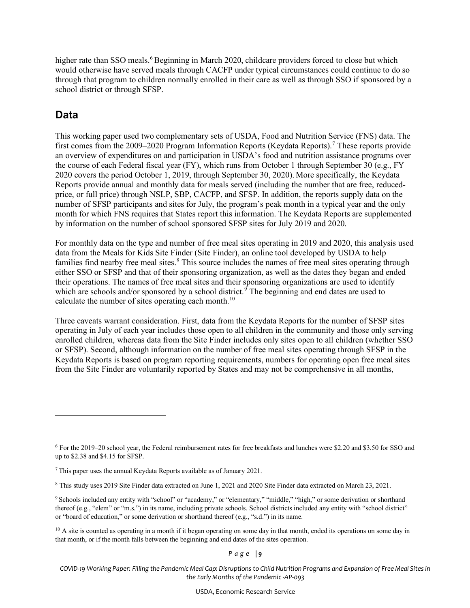higher rate than SSO meals.<sup>[6](#page-8-0)</sup> Beginning in March 2020, childcare providers forced to close but which would otherwise have served meals through CACFP under typical circumstances could continue to do so through that program to children normally enrolled in their care as well as through SSO if sponsored by a school district or through SFSP.

### **Data**

This working paper used two complementary sets of USDA, Food and Nutrition Service (FNS) data. The first comes from the 2009–2020 Program Information Reports (Keydata Reports).[7](#page-8-1) These reports provide an overview of expenditures on and participation in USDA's food and nutrition assistance programs over the course of each Federal fiscal year (FY), which runs from October 1 through September 30 (e.g., FY 2020 covers the period October 1, 2019, through September 30, 2020). More specifically, the Keydata Reports provide annual and monthly data for meals served (including the number that are free, reducedprice, or full price) through NSLP, SBP, CACFP, and SFSP. In addition, the reports supply data on the number of SFSP participants and sites for July, the program's peak month in a typical year and the only month for which FNS requires that States report this information. The Keydata Reports are supplemented by information on the number of school sponsored SFSP sites for July 2019 and 2020.

For monthly data on the type and number of free meal sites operating in 2019 and 2020, this analysis used data from the Meals for Kids Site Finder (Site Finder), an online tool developed by USDA to help families find nearby free meal sites.<sup>[8](#page-8-2)</sup> This source includes the names of free meal sites operating through either SSO or SFSP and that of their sponsoring organization, as well as the dates they began and ended their operations. The names of free meal sites and their sponsoring organizations are used to identify which are schools and/or sponsored by a school district.<sup>[9](#page-8-3)</sup> The beginning and end dates are used to calculate the number of sites operating each month.<sup>[10](#page-8-4)</sup>

Three caveats warrant consideration. First, data from the Keydata Reports for the number of SFSP sites operating in July of each year includes those open to all children in the community and those only serving enrolled children, whereas data from the Site Finder includes only sites open to all children (whether SSO or SFSP). Second, although information on the number of free meal sites operating through SFSP in the Keydata Reports is based on program reporting requirements, numbers for operating open free meal sites from the Site Finder are voluntarily reported by States and may not be comprehensive in all months,

*Page | 9* 

<span id="page-8-0"></span><sup>6</sup> For the 2019–20 school year, the Federal reimbursement rates for free breakfasts and lunches were \$2.20 and \$3.50 for SSO and up to \$2.38 and \$4.15 for SFSP.

<span id="page-8-1"></span> $<sup>7</sup>$  This paper uses the annual Keydata Reports available as of January 2021.</sup>

<span id="page-8-2"></span><sup>8</sup> This study uses 2019 Site Finder data extracted on June 1, 2021 and 2020 Site Finder data extracted on March 23, 2021.

<span id="page-8-3"></span><sup>9</sup> Schools included any entity with "school" or "academy," or "elementary," "middle," "high," or some derivation or shorthand thereof (e.g., "elem" or "m.s.") in its name, including private schools. School districts included any entity with "school district" or "board of education," or some derivation or shorthand thereof (e.g., "s.d.") in its name.

<span id="page-8-4"></span> $10$  A site is counted as operating in a month if it began operating on some day in that month, ended its operations on some day in that month, or if the month falls between the beginning and end dates of the sites operation.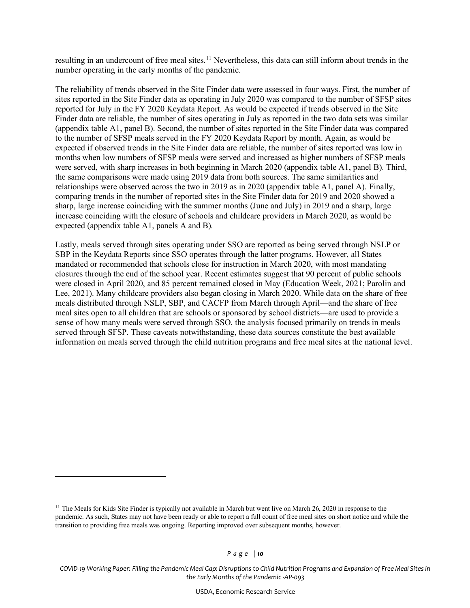resulting in an undercount of free meal sites.<sup>[11](#page-9-0)</sup> Nevertheless, this data can still inform about trends in the number operating in the early months of the pandemic.

The reliability of trends observed in the Site Finder data were assessed in four ways. First, the number of sites reported in the Site Finder data as operating in July 2020 was compared to the number of SFSP sites reported for July in the FY 2020 Keydata Report. As would be expected if trends observed in the Site Finder data are reliable, the number of sites operating in July as reported in the two data sets was similar (appendix table A1, panel B). Second, the number of sites reported in the Site Finder data was compared to the number of SFSP meals served in the FY 2020 Keydata Report by month. Again, as would be expected if observed trends in the Site Finder data are reliable, the number of sites reported was low in months when low numbers of SFSP meals were served and increased as higher numbers of SFSP meals were served, with sharp increases in both beginning in March 2020 (appendix table A1, panel B). Third, the same comparisons were made using 2019 data from both sources. The same similarities and relationships were observed across the two in 2019 as in 2020 (appendix table A1, panel A). Finally, comparing trends in the number of reported sites in the Site Finder data for 2019 and 2020 showed a sharp, large increase coinciding with the summer months (June and July) in 2019 and a sharp, large increase coinciding with the closure of schools and childcare providers in March 2020, as would be expected (appendix table A1, panels A and B).

Lastly, meals served through sites operating under SSO are reported as being served through NSLP or SBP in the Keydata Reports since SSO operates through the latter programs. However, all States mandated or recommended that schools close for instruction in March 2020, with most mandating closures through the end of the school year. Recent estimates suggest that 90 percent of public schools were closed in April 2020, and 85 percent remained closed in May (Education Week, 2021; Parolin and Lee, 2021). Many childcare providers also began closing in March 2020. While data on the share of free meals distributed through NSLP, SBP, and CACFP from March through April—and the share of free meal sites open to all children that are schools or sponsored by school districts—are used to provide a sense of how many meals were served through SSO, the analysis focused primarily on trends in meals served through SFSP. These caveats notwithstanding, these data sources constitute the best available information on meals served through the child nutrition programs and free meal sites at the national level.

<span id="page-9-0"></span><sup>&</sup>lt;sup>11</sup> The Meals for Kids Site Finder is typically not available in March but went live on March 26, 2020 in response to the pandemic. As such, States may not have been ready or able to report a full count of free meal sites on short notice and while the transition to providing free meals was ongoing. Reporting improved over subsequent months, however.

*COVID-19 Working Paper: Filling the Pandemic Meal Gap: Disruptions to Child Nutrition Programs and Expansion of Free Meal Sites in the Early Months of the Pandemic -AP-093*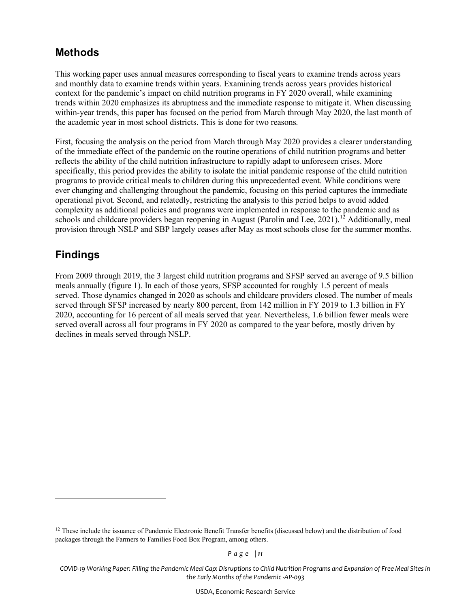### **Methods**

This working paper uses annual measures corresponding to fiscal years to examine trends across years and monthly data to examine trends within years. Examining trends across years provides historical context for the pandemic's impact on child nutrition programs in FY 2020 overall, while examining trends within 2020 emphasizes its abruptness and the immediate response to mitigate it. When discussing within-year trends, this paper has focused on the period from March through May 2020, the last month of the academic year in most school districts. This is done for two reasons.

First, focusing the analysis on the period from March through May 2020 provides a clearer understanding of the immediate effect of the pandemic on the routine operations of child nutrition programs and better reflects the ability of the child nutrition infrastructure to rapidly adapt to unforeseen crises. More specifically, this period provides the ability to isolate the initial pandemic response of the child nutrition programs to provide critical meals to children during this unprecedented event. While conditions were ever changing and challenging throughout the pandemic, focusing on this period captures the immediate operational pivot. Second, and relatedly, restricting the analysis to this period helps to avoid added complexity as additional policies and programs were implemented in response to the pandemic and as schools and childcare providers began reopening in August (Parolin and Lee, 2021).<sup>[12](#page-10-0)</sup> Additionally, meal provision through NSLP and SBP largely ceases after May as most schools close for the summer months.

### **Findings**

From 2009 through 2019, the 3 largest child nutrition programs and SFSP served an average of 9.5 billion meals annually (figure 1). In each of those years, SFSP accounted for roughly 1.5 percent of meals served. Those dynamics changed in 2020 as schools and childcare providers closed. The number of meals served through SFSP increased by nearly 800 percent, from 142 million in FY 2019 to 1.3 billion in FY 2020, accounting for 16 percent of all meals served that year. Nevertheless, 1.6 billion fewer meals were served overall across all four programs in FY 2020 as compared to the year before, mostly driven by declines in meals served through NSLP.

<span id="page-10-0"></span> $12$  These include the issuance of Pandemic Electronic Benefit Transfer benefits (discussed below) and the distribution of food packages through the Farmers to Families Food Box Program, among others.

*COVID-19 Working Paper: Filling the Pandemic Meal Gap: Disruptions to Child Nutrition Programs and Expansion of Free Meal Sites in the Early Months of the Pandemic -AP-093*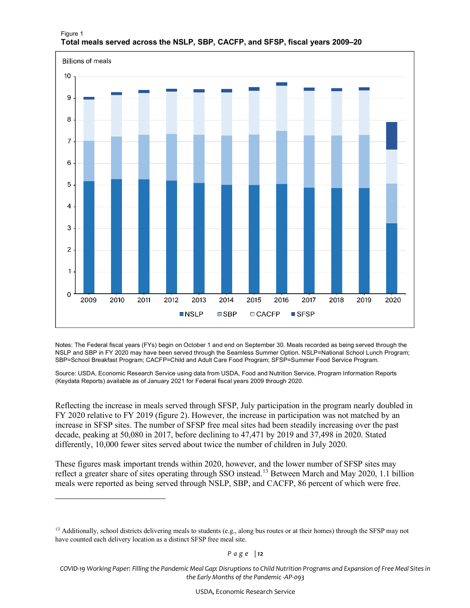

#### Figure 1 **Total meals served across the NSLP, SBP, CACFP, and SFSP, fiscal years 2009–20**

Notes: The Federal fiscal years (FYs) begin on October 1 and end on September 30. Meals recorded as being served through the NSLP and SBP in FY 2020 may have been served through the Seamless Summer Option. NSLP=National School Lunch Program; SBP=School Breakfast Program; CACFP=Child and Adult Care Food Program; SFSP=Summer Food Service Program.

Source: USDA, Economic Research Service using data from USDA, Food and Nutrition Service, Program Information Reports (Keydata Reports) available as of January 2021 for Federal fiscal years 2009 through 2020.

Reflecting the increase in meals served through SFSP, July participation in the program nearly doubled in FY 2020 relative to FY 2019 (figure 2). However, the increase in participation was not matched by an increase in SFSP sites. The number of SFSP free meal sites had been steadily increasing over the past decade, peaking at 50,080 in 2017, before declining to 47,471 by 2019 and 37,498 in 2020. Stated differently, 10,000 fewer sites served about twice the number of children in July 2020.

These figures mask important trends within 2020, however, and the lower number of SFSP sites may reflect a greater share of sites operating through SSO instead.[13](#page-13-0) Between March and May 2020, 1.1 billion meals were reported as being served through NSLP, SBP, and CACFP, 86 percent of which were free.

<sup>&</sup>lt;sup>13</sup> Additionally, school districts delivering meals to students (e.g., along bus routes or at their homes) through the SFSP may not have counted each delivery location as a distinct SFSP free meal site.

*COVID-19 Working Paper: Filling the Pandemic Meal Gap: Disruptions to Child Nutrition Programs and Expansion of Free Meal Sites in the Early Months of the Pandemic -AP-093*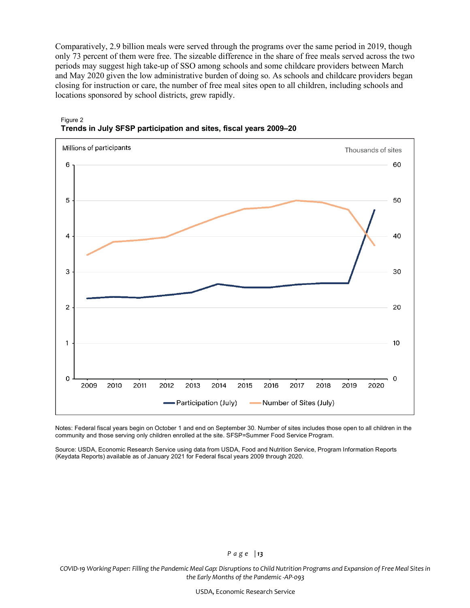Comparatively, 2.9 billion meals were served through the programs over the same period in 2019, though only 73 percent of them were free. The sizeable difference in the share of free meals served across the two periods may suggest high take-up of SSO among schools and some childcare providers between March and May 2020 given the low administrative burden of doing so. As schools and childcare providers began closing for instruction or care, the number of free meal sites open to all children, including schools and locations sponsored by school districts, grew rapidly.



#### Figure 2 **Trends in July SFSP participation and sites, fiscal years 2009–20**

Notes: Federal fiscal years begin on October 1 and end on September 30. Number of sites includes those open to all children in the community and those serving only children enrolled at the site. SFSP=Summer Food Service Program.

Source: USDA, Economic Research Service using data from USDA, Food and Nutrition Service, Program Information Reports (Keydata Reports) available as of January 2021 for Federal fiscal years 2009 through 2020.

#### *Page | 13*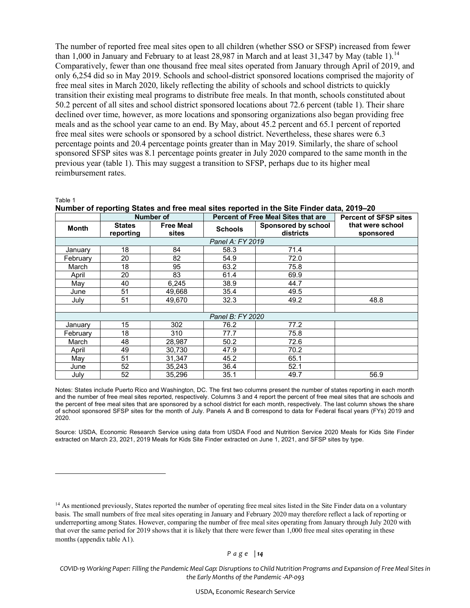The number of reported free meal sites open to all children (whether SSO or SFSP) increased from fewer than 1,000 in January and February to at least 28,987 in March and at least 31,347 by May (table 1).<sup>[14](#page-16-0)</sup> Comparatively, fewer than one thousand free meal sites operated from January through April of 2019, and only 6,254 did so in May 2019. Schools and school-district sponsored locations comprised the majority of free meal sites in March 2020, likely reflecting the ability of schools and school districts to quickly transition their existing meal programs to distribute free meals. In that month, schools constituted about 50.2 percent of all sites and school district sponsored locations about 72.6 percent (table 1). Their share declined over time, however, as more locations and sponsoring organizations also began providing free meals and as the school year came to an end. By May, about 45.2 percent and 65.1 percent of reported free meal sites were schools or sponsored by a school district. Nevertheless, these shares were 6.3 percentage points and 20.4 percentage points greater than in May 2019. Similarly, the share of school sponsored SFSP sites was 8.1 percentage points greater in July 2020 compared to the same month in the previous year (table 1). This may suggest a transition to SFSP, perhaps due to its higher meal reimbursement rates.

Table 1

|  |  | Number of reporting States and free meal sites reported in the Site Finder data, 2019–20 |  |  |
|--|--|------------------------------------------------------------------------------------------|--|--|
|--|--|------------------------------------------------------------------------------------------|--|--|

|                  |                            | <b>Number of</b>          | Percent of Free Meal Sites that are |                                  | <b>Percent of SFSP sites</b>  |  |  |  |
|------------------|----------------------------|---------------------------|-------------------------------------|----------------------------------|-------------------------------|--|--|--|
| <b>Month</b>     | <b>States</b><br>reporting | <b>Free Meal</b><br>sites | <b>Schools</b>                      | Sponsored by school<br>districts | that were school<br>sponsored |  |  |  |
| Panel A: FY 2019 |                            |                           |                                     |                                  |                               |  |  |  |
| January          | 18                         | 84                        | 58.3                                | 71.4                             |                               |  |  |  |
| Februarv         | 20                         | 82                        | 54.9                                | 72.0                             |                               |  |  |  |
| March            | 18                         | 95                        | 63.2                                | 75.8                             |                               |  |  |  |
| April            | 20                         | 83                        | 61.4                                | 69.9                             |                               |  |  |  |
| May              | 40                         | 6,245                     | 38.9                                | 44.7                             |                               |  |  |  |
| June             | 51                         | 49,668                    | 35.4                                | 49.5                             |                               |  |  |  |
| July             | 51                         | 49,670                    | 32.3                                | 49.2                             | 48.8                          |  |  |  |
|                  |                            |                           |                                     |                                  |                               |  |  |  |
| Panel B: FY 2020 |                            |                           |                                     |                                  |                               |  |  |  |
| January          | 15                         | 302                       | 76.2                                | 77.2                             |                               |  |  |  |
| Februarv         | 18                         | 310                       | 77.7                                | 75.8                             |                               |  |  |  |
| March            | 48                         | 28.987                    | 50.2                                | 72.6                             |                               |  |  |  |
| April            | 49                         | 30,730                    | 47.9                                | 70.2                             |                               |  |  |  |
| May              | 51                         | 31,347                    | 45.2                                | 65.1                             |                               |  |  |  |
| June             | 52                         | 35,243                    | 36.4                                | 52.1                             |                               |  |  |  |
| July             | 52                         | 35,296                    | 35.1                                | 49.7                             | 56.9                          |  |  |  |

Notes: States include Puerto Rico and Washington, DC. The first two columns present the number of states reporting in each month and the number of free meal sites reported, respectively. Columns 3 and 4 report the percent of free meal sites that are schools and the percent of free meal sites that are sponsored by a school district for each month, respectively. The last column shows the share of school sponsored SFSP sites for the month of July. Panels A and B correspond to data for Federal fiscal years (FYs) 2019 and 2020.

Source: USDA, Economic Research Service using data from USDA Food and Nutrition Service 2020 Meals for Kids Site Finder extracted on March 23, 2021, 2019 Meals for Kids Site Finder extracted on June 1, 2021, and SFSP sites by type.

<span id="page-13-0"></span><sup>&</sup>lt;sup>14</sup> As mentioned previously, States reported the number of operating free meal sites listed in the Site Finder data on a voluntary basis. The small numbers of free meal sites operating in January and February 2020 may therefore reflect a lack of reporting or underreporting among States. However, comparing the number of free meal sites operating from January through July 2020 with that over the same period for 2019 shows that it is likely that there were fewer than 1,000 free meal sites operating in these months (appendix table A1).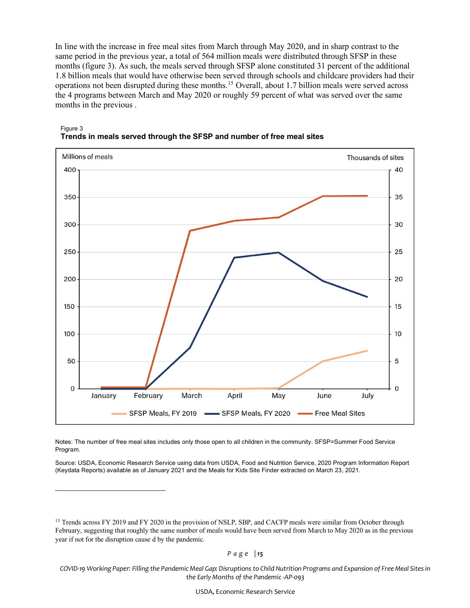In line with the increase in free meal sites from March through May 2020, and in sharp contrast to the same period in the previous year, a total of 564 million meals were distributed through SFSP in these months (figure 3). As such, the meals served through SFSP alone constituted 31 percent of the additional 1.8 billion meals that would have otherwise been served through schools and childcare providers had their operations not been disrupted during these months.[15](#page-18-0) Overall, about 1.7 billion meals were served across the 4 programs between March and May 2020 or roughly 59 percent of what was served over the same months in the previous .



Figure 3 **Trends in meals served through the SFSP and number of free meal sites**

Notes: The number of free meal sites includes only those open to all children in the community. SFSP=Summer Food Service Program.

Source: USDA, Economic Research Service using data from USDA, Food and Nutrition Service, 2020 Program Information Report (Keydata Reports) available as of January 2021 and the Meals for Kids Site Finder extracted on March 23, 2021.

*Page | 15*

<sup>&</sup>lt;sup>15</sup> Trends across FY 2019 and FY 2020 in the provision of NSLP, SBP, and CACFP meals were similar from October through February, suggesting that roughly the same number of meals would have been served from March to May 2020 as in the previous year if not for the disruption cause d by the pandemic.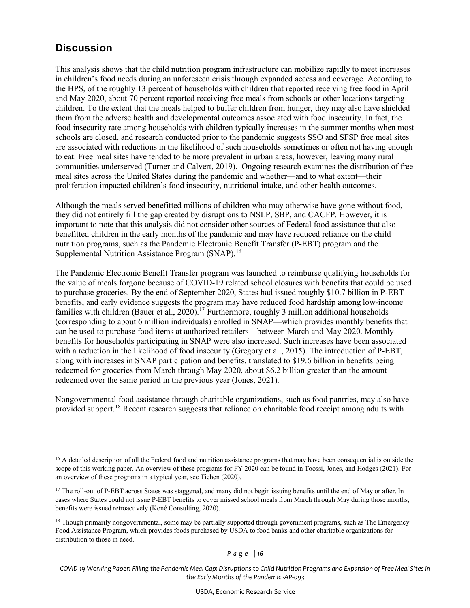### **Discussion**

This analysis shows that the child nutrition program infrastructure can mobilize rapidly to meet increases in children's food needs during an unforeseen crisis through expanded access and coverage. According to the HPS, of the roughly 13 percent of households with children that reported receiving free food in April and May 2020, about 70 percent reported receiving free meals from schools or other locations targeting children. To the extent that the meals helped to buffer children from hunger, they may also have shielded them from the adverse health and developmental outcomes associated with food insecurity. In fact, the food insecurity rate among households with children typically increases in the summer months when most schools are closed, and research conducted prior to the pandemic suggests SSO and SFSP free meal sites are associated with reductions in the likelihood of such households sometimes or often not having enough to eat. Free meal sites have tended to be more prevalent in urban areas, however, leaving many rural communities underserved (Turner and Calvert, 2019). Ongoing research examines the distribution of free meal sites across the United States during the pandemic and whether—and to what extent—their proliferation impacted children's food insecurity, nutritional intake, and other health outcomes.

Although the meals served benefitted millions of children who may otherwise have gone without food, they did not entirely fill the gap created by disruptions to NSLP, SBP, and CACFP. However, it is important to note that this analysis did not consider other sources of Federal food assistance that also benefitted children in the early months of the pandemic and may have reduced reliance on the child nutrition programs, such as the Pandemic Electronic Benefit Transfer (P-EBT) program and the Supplemental Nutrition Assistance Program (SNAP).<sup>16</sup>

The Pandemic Electronic Benefit Transfer program was launched to reimburse qualifying households for the value of meals forgone because of COVID-19 related school closures with benefits that could be used to purchase groceries. By the end of September 2020, States had issued roughly \$10.7 billion in P-EBT benefits, and early evidence suggests the program may have reduced food hardship among low-income families with children (Bauer et al., 2020).<sup>[17](#page-19-1)</sup> Furthermore, roughly 3 million additional households (corresponding to about 6 million individuals) enrolled in SNAP—which provides monthly benefits that can be used to purchase food items at authorized retailers—between March and May 2020. Monthly benefits for households participating in SNAP were also increased. Such increases have been associated with a reduction in the likelihood of food insecurity (Gregory et al., 2015). The introduction of P-EBT, along with increases in SNAP participation and benefits, translated to \$19.6 billion in benefits being redeemed for groceries from March through May 2020, about \$6.2 billion greater than the amount redeemed over the same period in the previous year (Jones, 2021).

Nongovernmental food assistance through charitable organizations, such as food pantries, may also have provided support.<sup>[18](#page-19-2)</sup> Recent research suggests that reliance on charitable food receipt among adults with

<sup>&</sup>lt;sup>16</sup> A detailed description of all the Federal food and nutrition assistance programs that may have been consequential is outside the scope of this working paper. An overview of these programs for FY 2020 can be found in Toossi, Jones, and Hodges (2021). For an overview of these programs in a typical year, see Tiehen (2020).

<sup>&</sup>lt;sup>17</sup> The roll-out of P-EBT across States was staggered, and many did not begin issuing benefits until the end of May or after. In cases where States could not issue P-EBT benefits to cover missed school meals from March through May during those months, benefits were issued retroactively (Koné Consulting, 2020).

 $18$  Though primarily nongovernmental, some may be partially supported through government programs, such as The Emergency Food Assistance Program, which provides foods purchased by USDA to food banks and other charitable organizations for distribution to those in need.

*COVID-19 Working Paper: Filling the Pandemic Meal Gap: Disruptions to Child Nutrition Programs and Expansion of Free Meal Sites in the Early Months of the Pandemic -AP-093*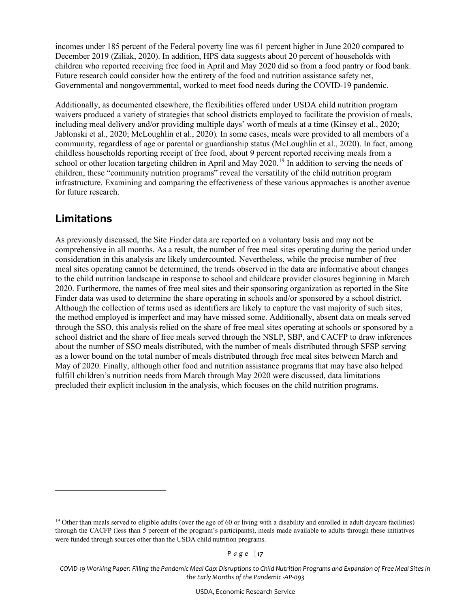incomes under 185 percent of the Federal poverty line was 61 percent higher in June 2020 compared to December 2019 (Ziliak, 2020). In addition, HPS data suggests about 20 percent of households with children who reported receiving free food in April and May 2020 did so from a food pantry or food bank. Future research could consider how the entirety of the food and nutrition assistance safety net, Governmental and nongovernmental, worked to meet food needs during the COVID-19 pandemic.

Additionally, as documented elsewhere, the flexibilities offered under USDA child nutrition program waivers produced a variety of strategies that school districts employed to facilitate the provision of meals, including meal delivery and/or providing multiple days' worth of meals at a time (Kinsey et al., 2020; Jablonski et al., 2020; McLoughlin et al., 2020). In some cases, meals were provided to all members of a community, regardless of age or parental or guardianship status (McLoughlin et al., 2020). In fact, among childless households reporting receipt of free food, about 9 percent reported receiving meals from a school or other location targeting children in April and May 2020.<sup>[19](#page-19-3)</sup> In addition to serving the needs of children, these "community nutrition programs" reveal the versatility of the child nutrition program infrastructure. Examining and comparing the effectiveness of these various approaches is another avenue for future research.

### **Limitations**

As previously discussed, the Site Finder data are reported on a voluntary basis and may not be comprehensive in all months. As a result, the number of free meal sites operating during the period under consideration in this analysis are likely undercounted. Nevertheless, while the precise number of free meal sites operating cannot be determined, the trends observed in the data are informative about changes to the child nutrition landscape in response to school and childcare provider closures beginning in March 2020. Furthermore, the names of free meal sites and their sponsoring organization as reported in the Site Finder data was used to determine the share operating in schools and/or sponsored by a school district. Although the collection of terms used as identifiers are likely to capture the vast majority of such sites, the method employed is imperfect and may have missed some. Additionally, absent data on meals served through the SSO, this analysis relied on the share of free meal sites operating at schools or sponsored by a school district and the share of free meals served through the NSLP, SBP, and CACFP to draw inferences about the number of SSO meals distributed, with the number of meals distributed through SFSP serving as a lower bound on the total number of meals distributed through free meal sites between March and May of 2020. Finally, although other food and nutrition assistance programs that may have also helped fulfill children's nutrition needs from March through May 2020 were discussed, data limitations precluded their explicit inclusion in the analysis, which focuses on the child nutrition programs.

<span id="page-16-0"></span><sup>&</sup>lt;sup>19</sup> Other than meals served to eligible adults (over the age of 60 or living with a disability and enrolled in adult daycare facilities) through the CACFP (less than 5 percent of the program's participants), meals made available to adults through these initiatives were funded through sources other than the USDA child nutrition programs.

*COVID-19 Working Paper: Filling the Pandemic Meal Gap: Disruptions to Child Nutrition Programs and Expansion of Free Meal Sites in the Early Months of the Pandemic -AP-093*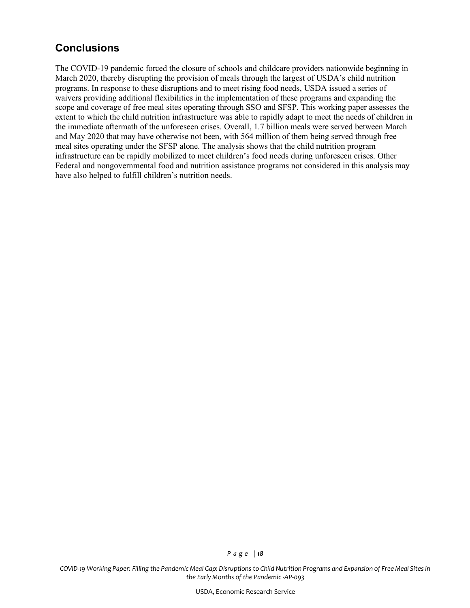### **Conclusions**

The COVID-19 pandemic forced the closure of schools and childcare providers nationwide beginning in March 2020, thereby disrupting the provision of meals through the largest of USDA's child nutrition programs. In response to these disruptions and to meet rising food needs, USDA issued a series of waivers providing additional flexibilities in the implementation of these programs and expanding the scope and coverage of free meal sites operating through SSO and SFSP. This working paper assesses the extent to which the child nutrition infrastructure was able to rapidly adapt to meet the needs of children in the immediate aftermath of the unforeseen crises. Overall, 1.7 billion meals were served between March and May 2020 that may have otherwise not been, with 564 million of them being served through free meal sites operating under the SFSP alone. The analysis shows that the child nutrition program infrastructure can be rapidly mobilized to meet children's food needs during unforeseen crises. Other Federal and nongovernmental food and nutrition assistance programs not considered in this analysis may have also helped to fulfill children's nutrition needs.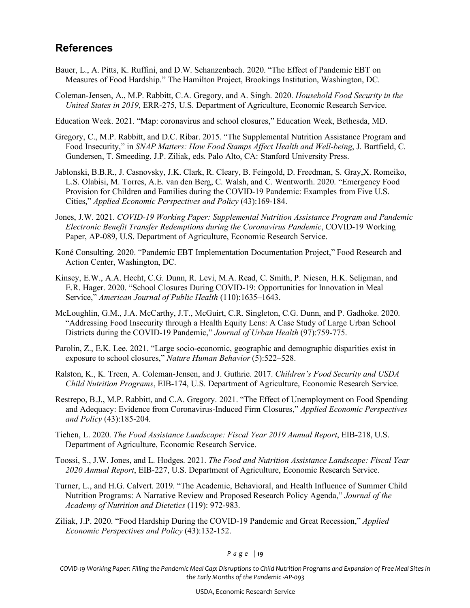### **References**

- Bauer, L., A. Pitts, K. Ruffini, and D.W. Schanzenbach. 2020. "The Effect of Pandemic EBT on Measures of Food Hardship." The Hamilton Project, Brookings Institution, Washington, DC.
- Coleman-Jensen, A., M.P. Rabbitt, C.A. Gregory, and A. Singh. 2020. *Household Food Security in the United States in 2019*, ERR-275, U.S. Department of Agriculture, Economic Research Service.
- Education Week. 2021. "Map: coronavirus and school closures," Education Week, Bethesda, MD.
- Gregory, C., M.P. Rabbitt, and D.C. Ribar. 2015. "The Supplemental Nutrition Assistance Program and Food Insecurity," in *SNAP Matters: How Food Stamps Affect Health and Well-being*, J. Bartfield, C. Gundersen, T. Smeeding, J.P. Ziliak, eds. Palo Alto, CA: Stanford University Press.
- Jablonski, B.B.R., J. Casnovsky, J.K. Clark, R. Cleary, B. Feingold, D. Freedman, S. Gray,X. Romeiko, L.S. Olabisi, M. Torres, A.E. van den Berg, C. Walsh, and C. Wentworth. 2020. "Emergency Food Provision for Children and Families during the COVID‐19 Pandemic: Examples from Five U.S. Cities," *Applied Economic Perspectives and Policy* (43):169-184.
- Jones, J.W. 2021. *COVID-19 Working Paper: Supplemental Nutrition Assistance Program and Pandemic Electronic Benefit Transfer Redemptions during the Coronavirus Pandemic*, COVID-19 Working Paper, AP-089, U.S. Department of Agriculture, Economic Research Service.
- Koné Consulting. 2020. "Pandemic EBT Implementation Documentation Project," Food Research and Action Center, Washington, DC.
- Kinsey, E.W., A.A. Hecht, C.G. Dunn, R. Levi, M.A. Read, C. Smith, P. Niesen, H.K. Seligman, and E.R. Hager. 2020. "School Closures During COVID-19: Opportunities for Innovation in Meal Service," *American Journal of Public Health* (110):1635–1643.
- McLoughlin, G.M., J.A. McCarthy, J.T., McGuirt, C.R. Singleton, C.G. Dunn, and P. Gadhoke. 2020. "Addressing Food Insecurity through a Health Equity Lens: A Case Study of Large Urban School Districts during the COVID-19 Pandemic," *Journal of Urban Health* (97):759-775.
- Parolin, Z., E.K. Lee. 2021. "Large socio-economic, geographic and demographic disparities exist in exposure to school closures," *Nature Human Behavior* (5):522–528.
- Ralston, K., K. Treen, A. Coleman-Jensen, and J. Guthrie. 2017. *Children's Food Security and USDA Child Nutrition Programs*, EIB-174, U.S. Department of Agriculture, Economic Research Service.
- Restrepo, B.J., M.P. Rabbitt, and C.A. Gregory. 2021. "The Effect of Unemployment on Food Spending and Adequacy: Evidence from Coronavirus‐Induced Firm Closures," *Applied Economic Perspectives and Policy* (43):185-204.
- Tiehen, L. 2020. *The Food Assistance Landscape: Fiscal Year 2019 Annual Report*, EIB-218, U.S. Department of Agriculture, Economic Research Service.
- Toossi, S., J.W. Jones, and L. Hodges. 2021. *The Food and Nutrition Assistance Landscape: Fiscal Year 2020 Annual Report*, EIB-227, U.S. Department of Agriculture, Economic Research Service.
- Turner, L., and H.G. Calvert. 2019. "The Academic, Behavioral, and Health Influence of Summer Child Nutrition Programs: A Narrative Review and Proposed Research Policy Agenda," *Journal of the Academy of Nutrition and Dietetics* (119): 972-983.
- <span id="page-18-0"></span>Ziliak, J.P. 2020. "Food Hardship During the COVID-19 Pandemic and Great Recession," *Applied Economic Perspectives and Policy* (43):132-152.

*COVID-19 Working Paper: Filling the Pandemic Meal Gap: Disruptions to Child Nutrition Programs and Expansion of Free Meal Sites in the Early Months of the Pandemic -AP-093*